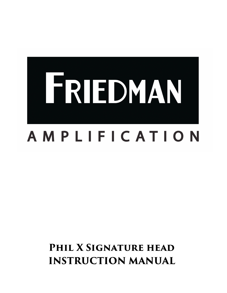

# PHIL **X SIGNATURE HEAD INSTRUCTION MANUAL**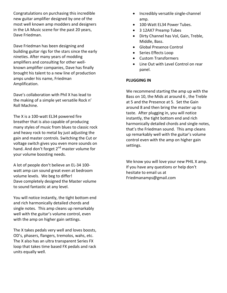Congratulations on purchasing this incredible new guitar amplifier designed by one of the most well known amp modders and designers in the LA Music scene for the past 20 years, Dave Friedman.

Dave Friedman has been designing and building guitar rigs for the stars since the early nineties. After many years of modding amplifiers and consulting for other wellknown amplifier companies, Dave has finally brought his talent to a new line of production amps under his name, Friedman Amplification. 

Dave's collaboration with Phil X has lead to the making of a simple yet versatile Rock n' Roll Machine.

The X is a 100-watt EL34 powered fire breather that is also capable of producing many styles of music from blues to classic rock and heavy rock to metal by just adjusting the gain and master controls. Switching the Cut or voltage switch gives you even more sounds on hand. And don't forget 2<sup>nd</sup> master volume for your volume boosting needs.

A lot of people don't believe an EL-34 100watt amp can sound great even at bedroom volume levels. We beg to differ! Dave completely designed the Master volume to sound fantastic at any level.

You will notice instantly, the tight bottom end and rich harmonically detailed chords and single notes. This amp cleans up remarkably well with the guitar's volume control, even with the amp on higher gain settings.

The X takes pedals very well and loves boosts, OD's, phasers, flangers, tremolos, wahs, etc. The X also has an ultra transparent Series FX loop that takes time based FX pedals and rack units equally well.

- Incredibly versatile single-channel amp.
- 100-Watt EL34 Power Tubes.
- 3 12AX7 Preamp Tubes
- Dirty Channel has Vol, Gain, Treble, Middle, Bass.
- Global Presence Control
- Series Effects Loop
- Custom Transformers
- Line Out with Level Control on rear panel.

#### **PLUGGING IN**

We recommend starting the amp up with the Bass on 10, the Mids at around 6, the Treble at 5 and the Presence at 5. Set the Gain around 8 and then bring the master up to taste. After plugging in, you will notice instantly, the tight bottom end and rich harmonically detailed chords and single notes, that's the Friedman sound. This amp cleans up remarkably well with the guitar's volume control even with the amp on higher gain settings. 

We know you will love your new PHIL X amp. If you have any questions or help don't hesitate to email us at Friedmanamps@gmail.com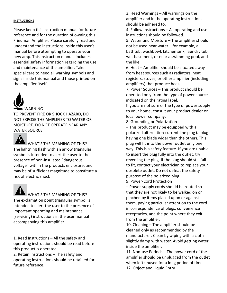#### **INSTRUCTIONS**

Please keep this instruction manual for future reference and for the duration of owning this Friedman Amplifier. Please carefully read and understand the instructions inside this user's manual before attempting to operate your new amp. This instruction manual includes essential safety information regarding the use and maintenance of the amplifier. Take special care to heed all warning symbols and signs inside this manual and those printed on the amplifier itself.



TO PREVENT FIRE OR SHOCK HAZARD, DO NOT EXPOSE THE AMPLIFIER TO WATER OR MOISTURE. DO NOT OPERATE NEAR ANY WATER SOURCE



## $\blacktriangle$  WHAT'S THE MEANING OF THIS?

The lightning flash with an arrow triangular symbol is intended to alert the user to the presence of non-insulated "dangerous voltage" within the products enclosure, and may be of sufficient magnitude to constitute a risk of electric shock



## $\blacksquare$  WHAT'S THE MEANING OF THIS?

The exclamation point triangular symbol is intended to alert the user to the presence of important operating and maintenance (servicing) instructions in the user manual accompanying this amplifier!

1. Read Instructions  $-$  All the safety and operating instructions should be read before this product is operated.

2. Retain Instructions  $-$  The safety and operating instructions should be retained for future reference.

3. Heed Warnings – All warnings on the amplifier and in the operating instructions should be adhered to.

4. Follow Instructions  $-$  All operating and use instructions should be followed.

5. Water and Moisture – The amplifier should not be used near water – for example, a bathtub, washbowl, kitchen sink, laundry tub, wet basement, or near a swimming pool, and the like.

6. Heat  $-$  Amplifier should be situated away from heat sources such as radiators, heat registers, stoves, or other amplifier (including amplifiers) that produce heat.

7. Power Sources - This product should be operated only from the type of power source indicated on the rating label.

If you are not sure of the type of power supply to your home, consult your product dealer or local power company.

8. Grounding or Polarization

 $-$  This product may be equipped with a polarized alternation-current line plug (a plug having one blade wider than the other). This plug will fit into the power outlet only one way. This is a safety feature. If you are unable to insert the plug fully into the outlet, try reversing the plug. If the plug should still fail to fit, contact your electrician to replace your obsolete outlet. Do not defeat the safety purpose of the polarized plug.

9. Power-Cord Protection

– Power-supply cords should be routed so that they are not likely to be walked on or pinched by items placed upon or against them, paying particular attention to the cord in correspondence of plugs, convenience receptacles, and the point where they exit from the amplifier.

10. Cleaning  $-$  The amplifier should be cleaned only as recommended by the manufacturer. Clean by wiping with a cloth slightly damp with water. Avoid getting water inside the amplifier.

11. Non-use Periods  $-$  The power cord of the amplifier should be unplugged from the outlet when left unused for a long period of time. 12. Object and Liquid Entry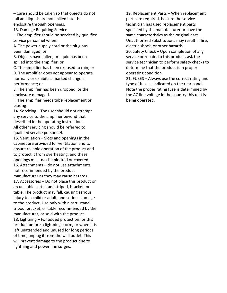– Care should be taken so that objects do not fall and liquids are not spilled into the enclosure through openings.

13. Damage Requiring Service

 $-$  The amplifier should be serviced by qualified service personnel when:

A. The power-supply cord or the plug has been damaged; or

B. Objects have fallen, or liquid has been spilled into the amplifier; or

C. The amplifier has been exposed to rain; or D. The amplifier does not appear to operate normally or exhibits a marked change in performance; or

E. The amplifier has been dropped, or the enclosure damaged.

F. The amplifier needs tube replacement or biasing

14. Servicing – The user should not attempt any service to the amplifier beyond that described in the operating instructions. All other servicing should be referred to qualified service personnel.

15. Ventilation  $-$  Slots and openings in the cabinet are provided for ventilation and to ensure reliable operation of the product and to protect it from overheating, and these openings must not be blocked or covered. 16. Attachments - do not use attachments not recommended by the product manufacturer as they may cause hazards. 17. Accessories  $-$  Do not place this product on an unstable cart, stand, tripod, bracket, or table. The product may fall, causing serious injury to a child or adult, and serious damage to the product. Use only with a cart, stand, tripod, bracket, or table recommended by the manufacturer, or sold with the product. 18. Lightning  $-$  For added protection for this product before a lightning storm, or when it is left unattended and unused for long periods of time, unplug it from the wall outlet. This will prevent damage to the product due to lightning and power line surges.

19. Replacement Parts - When replacement parts are required, be sure the service technician has used replacement parts specified by the manufacturer or have the same characteristics as the original part. Unauthorized substitutions may result in fire, electric shock, or other hazards.

20. Safety Check – Upon completion of any service or repairs to this product, ask the service technician to perform safety checks to determine that the product is in proper operating condition.

21. FUSES - Always use the correct rating and type of fuse as indicated on the rear panel. Note the proper rating fuse is determined by the AC line voltage in the country this unit is being operated.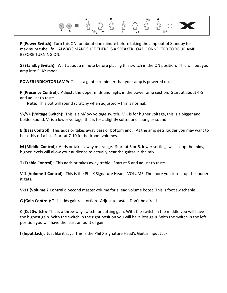

**P** (Power Switch): Turn this ON for about one minute before taking the amp out of Standby for maximum tube life. ALWAYS MAKE SURE THERE IS A SPEAKER LOAD CONNECTED TO YOUR AMP BEFORE TURNING ON.

**S** (Standby Switch): Wait about a minute before placing this switch in the ON position. This will put your amp into PLAY mode.

**POWER INDICATOR LAMP:** This is a gentle reminder that your amp is powered up.

**P** (Presence Control): Adjusts the upper mids and highs in the power amp section. Start at about 4-5 and adjust to taste.

**Note:** This pot will sound scratchy when adjusted – this is normal.

**V-/V+ (Voltage Switch):** This is a hi/low voltage switch.  $V +$  is for higher voltage, this is a bigger and bolder sound. V- is a lower voltage, this is for a slightly softer and spongier sound.

**B** (Bass Control): This adds or takes away bass or bottom end. As the amp gets louder you may want to back this off a bit. Start at 7-10 for bedroom volumes.

**M** (Middle Control): Adds or takes away midrange. Start at 5 or 6, lower settings will scoop the mids, higher levels will allow your audience to actually hear the guitar in the mix.

**T** (Treble Control): This adds or takes away treble. Start at 5 and adjust to taste.

**V-1 (Volume 1 Control):** This is the Phil X Signature Head's VOLUME. The more you turn it up the louder it gets.

**V-11 (Volume 2 Control):** Second master volume for a lead volume boost. This is foot switchable.

**G** (Gain Control): This adds gain/distortion. Adjust to taste. Don't be afraid.

**C** (Cut Switch): This is a three-way switch for cutting gain. With the switch in the middle you will have the highest gain. With the switch in the right position you will have less gain. With the switch in the left position you will have the least amount of gain.

**I (Input Jack):** Just like it says. This is the Phil X Signature Head's Guitar Input Jack.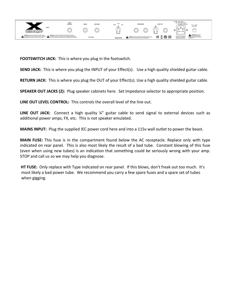

**FOOTSWITCH JACK:** This is where you plug in the footswitch.

**SEND JACK:** This is where you plug the INPUT of your Effect(s). Use a high quality shielded guitar cable.

**RETURN JACK:** This is where you plug the OUT of your Effect(s). Use a high quality shielded guitar cable.

**SPEAKER OUT JACKS (2):** Plug speaker cabinets here. Set Impedance selector to appropriate position.

LINE OUT LEVEL CONTROL: This controls the overall level of the line out.

**LINE OUT JACK:** Connect a high quality ¼" guitar cable to send signal to external devices such as additional power amps, FX, etc. This is not speaker emulated.

**MAINS INPUT:** Plug the supplied IEC power cord here and into a 115v wall outlet to power the beast.

**MAIN FUSE:** This fuse is in the compartment found below the AC receptacle. Replace only with type indicated on rear panel. This is also most likely the result of a bad tube. Constant blowing of this fuse (even when using new tubes) is an indication that something could be seriously wrong with your amp. STOP and call us so we may help you diagnose.

**HT FUSE:** Only replace with Type indicated on rear panel. If this blows, don't freak out too much. It's most likely a bad power tube. We recommend you carry a few spare fuses and a spare set of tubes when gigging.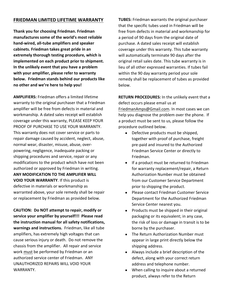### **FRIEDMAN LIMITED LIFETIME WARRANTY**

Thank you for choosing Friedman. Friedman manufactures some of the world's most reliable hand-wired, all-tube amplifiers and speaker cabinets. Friedman takes great pride in an extremely thorough testing procedure, which is implemented on each product prior to shipment. In the unlikely event that you have a problem with your amplifier, please refer to warranty below. Friedman stands behind our products like **no other and we're here to help you!**

**AMPLIFIERS:** Friedman offers a limited lifetime warranty to the original purchaser that a Friedman amplifier will be free from defects in material and workmanship. A dated sales receipt will establish coverage under this warranty, PLEASE KEEP YOUR PROOF OF PURCHASE TO USE YOUR WARRANTY. This warranty does not cover service or parts to repair damage caused by accident, neglect, abuse, normal wear, disaster, misuse, abuse, overpowering, negligence, inadequate packing or shipping procedures and service, repair or any modifications to the product which have not been authorized or approved by Friedman in writing. **ANY MODIFICATION TO THE AMPLIFIER WILL VOID YOUR WARRANTY.** If this product is defective in materials or workmanship as warranted above, your sole remedy shall be repair or replacement by Friedman as provided below.

**CAUTION: Do NOT attempt to repair, modify or** service your amplifier by yourself!!! Please read the instruction manual for all safety notifications, warnings and instructions. Friedman, like all tube amplifiers, has extremely high voltages that can cause serious injury or death. Do not remove the chassis from the amplifier. All repair and service work must be performed by Friedman or an authorized service center of Friedman. ANY UNAUTHORIZED REPAIRS WILL VOID YOUR WARRANTY.

**TUBES:** Friedman warrants the original purchaser that the specific tubes used in Friedman will be free from defects in material and workmanship for a period of 90 days from the original date of purchase. A dated sales receipt will establish coverage under this warranty. This tube warranty will automatically terminate 90 days after the original retail sales date. This tube warranty is in lieu of all other expressed warranties. If tubes fail within the 90 day warranty period your sole remedy shall be replacement of tubes as provided below. 

**RETURN PROCEDURES:** In the unlikely event that a defect occurs please email us at FriedmanAmps@Gmail.com. In most cases we can help you diagnose the problem over the phone. If a product must be sent to us, please follow the procedure outlined below.

- Defective products must be shipped, together with proof of purchase, freight pre-paid and insured to the Authorized Friedman Service Center or directly to Friedman.
- If a product must be returned to Friedman for warranty replacement/repair, a Return Authorization Number must be obtained from our Customer Service Department prior to shipping the product.
- Please contact Friedman Customer Service Department for the Authorized Friedman Service Center nearest you.
- Products must be shipped in their original packaging or its equivalent; in any case, the risk of loss or damage in transit is to be borne by the purchaser.
- The Return Authorization Number must appear in large print directly below the shipping address.
- Always include a brief description of the defect, along with your correct return address and telephone number.
- When calling to inquire about a returned product, always refer to the Return